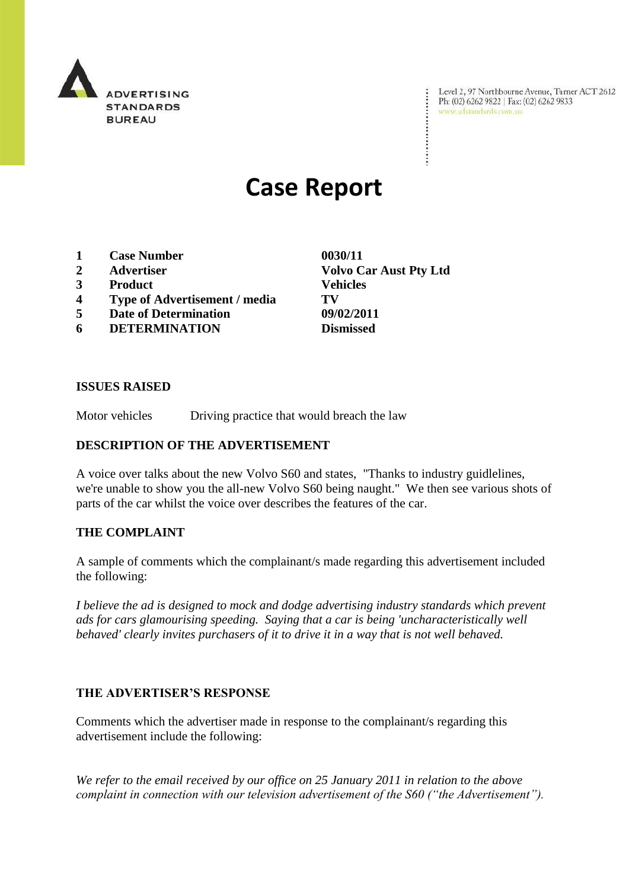

Level 2, 97 Northbourne Avenue, Turner ACT 2612<br>Ph: (02) 6262 9822 | Fax: (02) 6262 9833<br>www.adstandards.com.au

# **Case Report**

- **1 Case Number 0030/11**
- 
- **3 Product Vehicles**
- **4 Type of Advertisement / media TV**
- **5 Date of Determination 09/02/2011**
- **6 DETERMINATION Dismissed**

**2 Advertiser Volvo Car Aust Pty Ltd**

÷

# **ISSUES RAISED**

Motor vehicles Driving practice that would breach the law

# **DESCRIPTION OF THE ADVERTISEMENT**

A voice over talks about the new Volvo S60 and states, "Thanks to industry guidlelines, we're unable to show you the all-new Volvo S60 being naught." We then see various shots of parts of the car whilst the voice over describes the features of the car.

# **THE COMPLAINT**

A sample of comments which the complainant/s made regarding this advertisement included the following:

*I believe the ad is designed to mock and dodge advertising industry standards which prevent ads for cars glamourising speeding. Saying that a car is being 'uncharacteristically well behaved' clearly invites purchasers of it to drive it in a way that is not well behaved.* 

# **THE ADVERTISER'S RESPONSE**

Comments which the advertiser made in response to the complainant/s regarding this advertisement include the following:

*We refer to the email received by our office on 25 January 2011 in relation to the above complaint in connection with our television advertisement of the S60 ("the Advertisement").*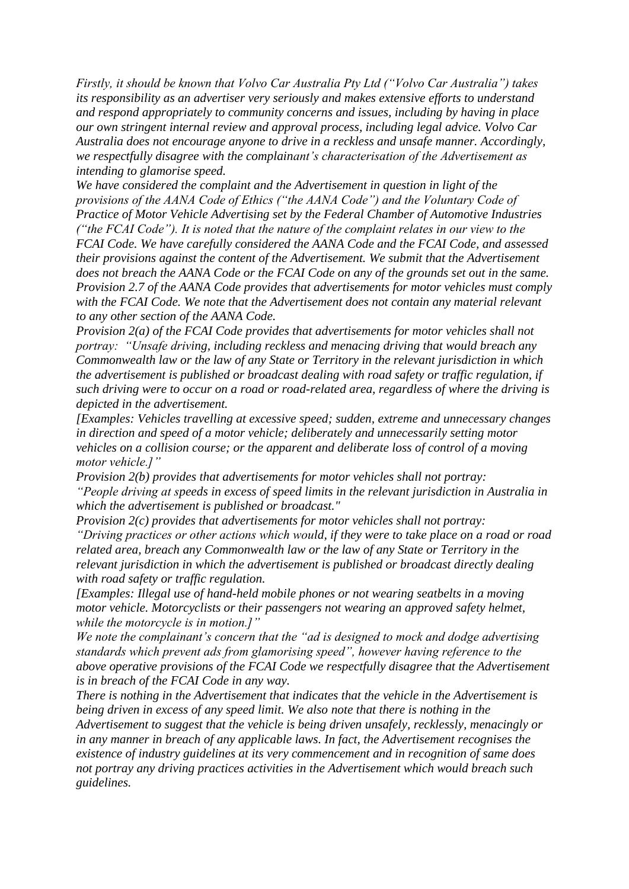*Firstly, it should be known that Volvo Car Australia Pty Ltd ("Volvo Car Australia") takes its responsibility as an advertiser very seriously and makes extensive efforts to understand and respond appropriately to community concerns and issues, including by having in place our own stringent internal review and approval process, including legal advice. Volvo Car Australia does not encourage anyone to drive in a reckless and unsafe manner. Accordingly, we respectfully disagree with the complainant's characterisation of the Advertisement as intending to glamorise speed.*

*We have considered the complaint and the Advertisement in question in light of the provisions of the AANA Code of Ethics ("the AANA Code") and the Voluntary Code of Practice of Motor Vehicle Advertising set by the Federal Chamber of Automotive Industries ("the FCAI Code"). It is noted that the nature of the complaint relates in our view to the FCAI Code. We have carefully considered the AANA Code and the FCAI Code, and assessed their provisions against the content of the Advertisement. We submit that the Advertisement does not breach the AANA Code or the FCAI Code on any of the grounds set out in the same. Provision 2.7 of the AANA Code provides that advertisements for motor vehicles must comply with the FCAI Code. We note that the Advertisement does not contain any material relevant to any other section of the AANA Code.* 

*Provision 2(a) of the FCAI Code provides that advertisements for motor vehicles shall not portray: "Unsafe driving, including reckless and menacing driving that would breach any Commonwealth law or the law of any State or Territory in the relevant jurisdiction in which the advertisement is published or broadcast dealing with road safety or traffic regulation, if such driving were to occur on a road or road-related area, regardless of where the driving is depicted in the advertisement.*

*[Examples: Vehicles travelling at excessive speed; sudden, extreme and unnecessary changes in direction and speed of a motor vehicle; deliberately and unnecessarily setting motor vehicles on a collision course; or the apparent and deliberate loss of control of a moving motor vehicle.]"*

*Provision 2(b) provides that advertisements for motor vehicles shall not portray: "People driving at speeds in excess of speed limits in the relevant jurisdiction in Australia in which the advertisement is published or broadcast."*

*Provision 2(c) provides that advertisements for motor vehicles shall not portray: "Driving practices or other actions which would, if they were to take place on a road or road related area, breach any Commonwealth law or the law of any State or Territory in the relevant jurisdiction in which the advertisement is published or broadcast directly dealing with road safety or traffic regulation.*

*[Examples: Illegal use of hand-held mobile phones or not wearing seatbelts in a moving motor vehicle. Motorcyclists or their passengers not wearing an approved safety helmet, while the motorcycle is in motion.]"*

*We note the complainant's concern that the "ad is designed to mock and dodge advertising standards which prevent ads from glamorising speed", however having reference to the above operative provisions of the FCAI Code we respectfully disagree that the Advertisement is in breach of the FCAI Code in any way.*

*There is nothing in the Advertisement that indicates that the vehicle in the Advertisement is being driven in excess of any speed limit. We also note that there is nothing in the Advertisement to suggest that the vehicle is being driven unsafely, recklessly, menacingly or in any manner in breach of any applicable laws. In fact, the Advertisement recognises the existence of industry guidelines at its very commencement and in recognition of same does not portray any driving practices activities in the Advertisement which would breach such guidelines.*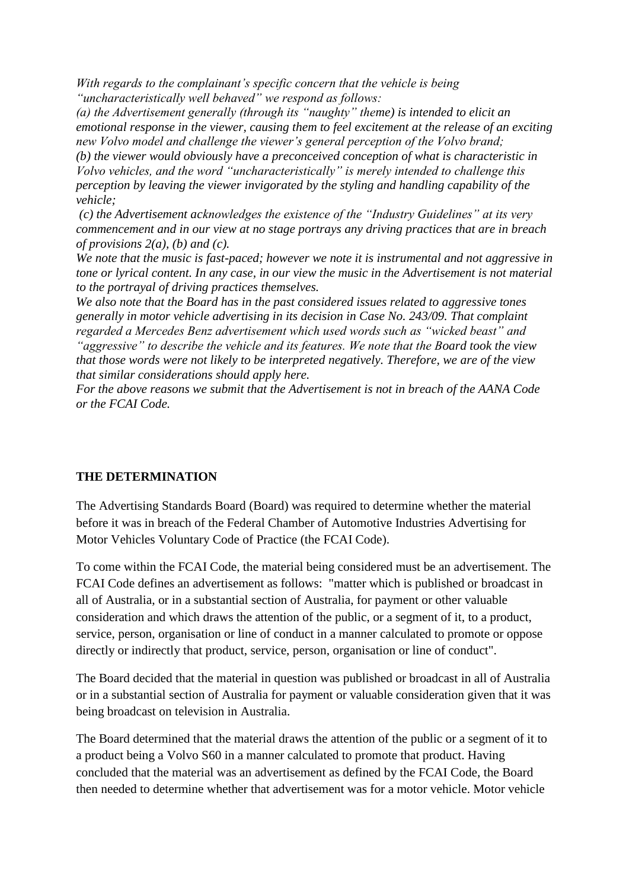*With regards to the complainant's specific concern that the vehicle is being "uncharacteristically well behaved" we respond as follows:*

*(a) the Advertisement generally (through its "naughty" theme) is intended to elicit an emotional response in the viewer, causing them to feel excitement at the release of an exciting new Volvo model and challenge the viewer's general perception of the Volvo brand;*

*(b) the viewer would obviously have a preconceived conception of what is characteristic in Volvo vehicles, and the word "uncharacteristically" is merely intended to challenge this perception by leaving the viewer invigorated by the styling and handling capability of the vehicle;*

*(c) the Advertisement acknowledges the existence of the "Industry Guidelines" at its very commencement and in our view at no stage portrays any driving practices that are in breach of provisions 2(a), (b) and (c).*

*We note that the music is fast-paced; however we note it is instrumental and not aggressive in tone or lyrical content. In any case, in our view the music in the Advertisement is not material to the portrayal of driving practices themselves.*

*We also note that the Board has in the past considered issues related to aggressive tones generally in motor vehicle advertising in its decision in Case No. 243/09. That complaint regarded a Mercedes Benz advertisement which used words such as "wicked beast" and "aggressive" to describe the vehicle and its features. We note that the Board took the view that those words were not likely to be interpreted negatively. Therefore, we are of the view that similar considerations should apply here.*

*For the above reasons we submit that the Advertisement is not in breach of the AANA Code or the FCAI Code.* 

# **THE DETERMINATION**

The Advertising Standards Board (Board) was required to determine whether the material before it was in breach of the Federal Chamber of Automotive Industries Advertising for Motor Vehicles Voluntary Code of Practice (the FCAI Code).

To come within the FCAI Code, the material being considered must be an advertisement. The FCAI Code defines an advertisement as follows: "matter which is published or broadcast in all of Australia, or in a substantial section of Australia, for payment or other valuable consideration and which draws the attention of the public, or a segment of it, to a product, service, person, organisation or line of conduct in a manner calculated to promote or oppose directly or indirectly that product, service, person, organisation or line of conduct".

The Board decided that the material in question was published or broadcast in all of Australia or in a substantial section of Australia for payment or valuable consideration given that it was being broadcast on television in Australia.

The Board determined that the material draws the attention of the public or a segment of it to a product being a Volvo S60 in a manner calculated to promote that product. Having concluded that the material was an advertisement as defined by the FCAI Code, the Board then needed to determine whether that advertisement was for a motor vehicle. Motor vehicle